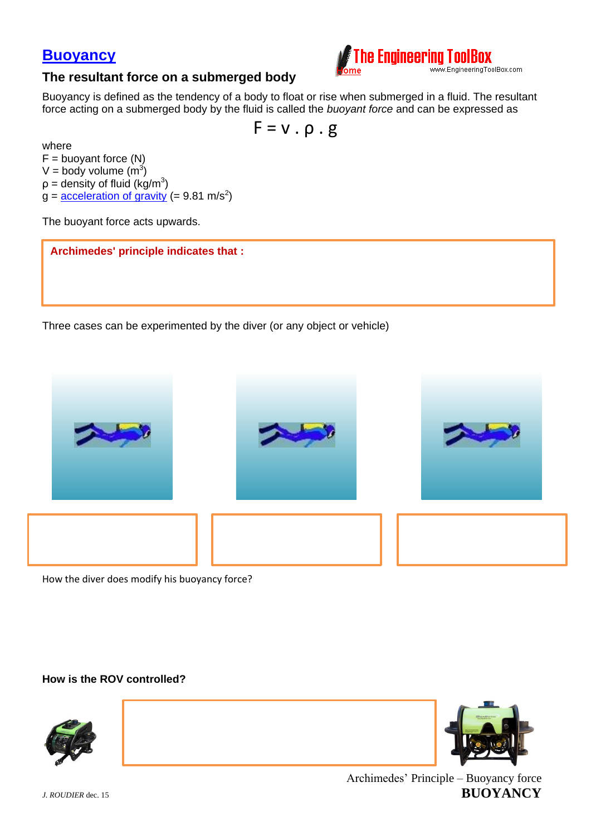



## **The resultant force on a submerged body**

Buoyancy is defined as the tendency of a body to float or rise when submerged in a fluid. The resultant force acting on a submerged body by the fluid is called the *buoyant force* and can be expressed as

$$
F = v \cdot \rho \cdot g
$$

where  $F =$  buoyant force  $(N)$ V = body volume  $(m^3)$  $p =$  density of fluid (kg/m<sup>3</sup>)  $g = \frac{acceleration of gravity}{} (= 9.81 m/s^2)$ 

The buoyant force acts upwards.

**Archimedes' principle indicates that :**

Three cases can be experimented by the diver (or any object or vehicle)



How the diver does modify his buoyancy force?

**How is the ROV controlled?**





Archimedes' Principle – Buoyancy force *J. ROUDIER* dec. 15 **BUOYANCY**